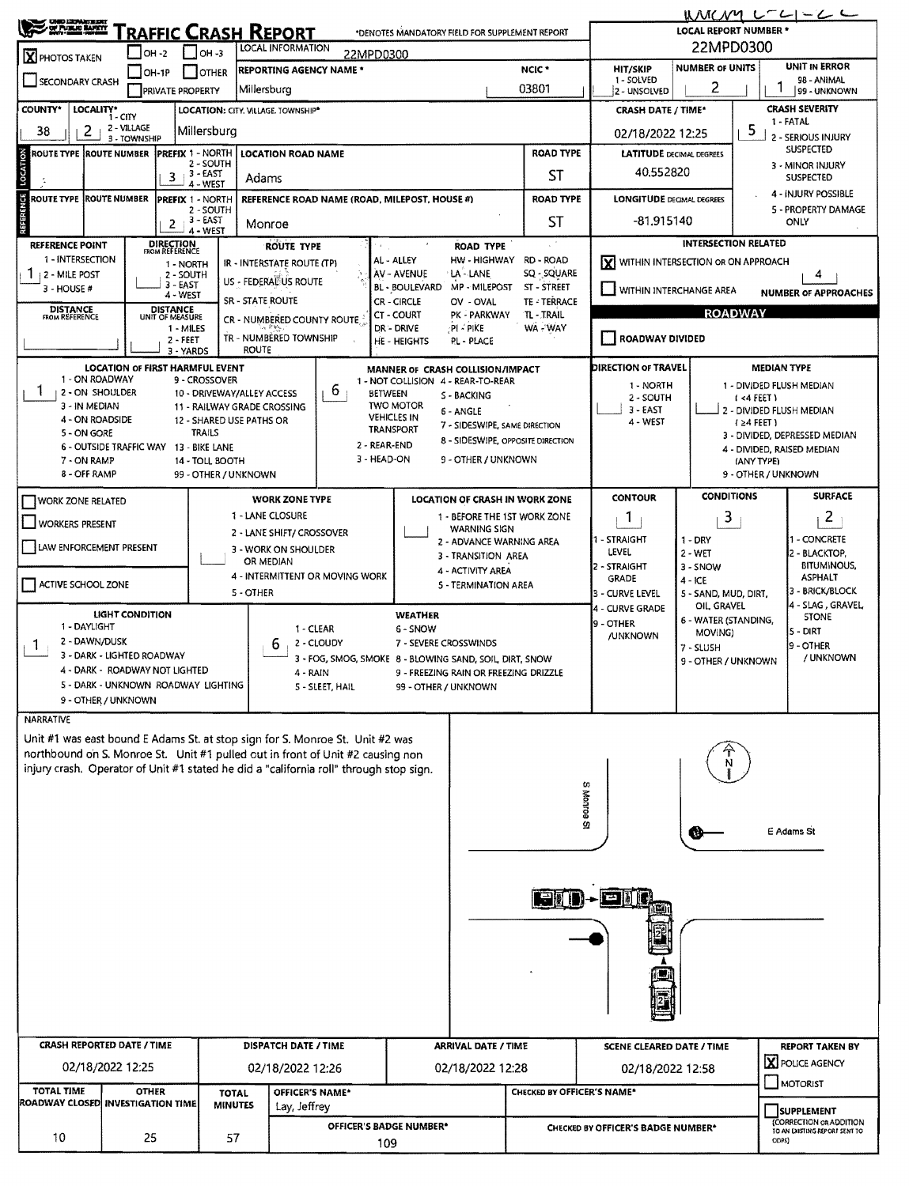| <b>CHIO LIGHAIRE BAY</b><br>OF PUBLIC BAFRY                                                                                                                                                                        |                                                                                                            |                                      |                      |                                                         |                                                                                                                                                                 |                                                      |                                                                                                                                      |                                                                                                |                                                        | <b>LOCAL REPORT NUMBER *</b>                                     | WMCNY L-LI-LL                            |  |  |  |
|--------------------------------------------------------------------------------------------------------------------------------------------------------------------------------------------------------------------|------------------------------------------------------------------------------------------------------------|--------------------------------------|----------------------|---------------------------------------------------------|-----------------------------------------------------------------------------------------------------------------------------------------------------------------|------------------------------------------------------|--------------------------------------------------------------------------------------------------------------------------------------|------------------------------------------------------------------------------------------------|--------------------------------------------------------|------------------------------------------------------------------|------------------------------------------|--|--|--|
| Traffic Crash Report<br>*DENOTES MANDATORY FIELD FOR SUPPLEMENT REPORT<br><b>LOCAL INFORMATION</b><br>OH -2<br>$\vert$ OH -3<br>22MPD0300<br><b>X</b> PHOTOS TAKEN                                                 |                                                                                                            |                                      |                      |                                                         |                                                                                                                                                                 |                                                      |                                                                                                                                      |                                                                                                | 22MPD0300                                              |                                                                  |                                          |  |  |  |
|                                                                                                                                                                                                                    | <b>REPORTING AGENCY NAME *</b><br>$IOH-IP$<br><b>SCOTTLER</b>                                              |                                      |                      |                                                         |                                                                                                                                                                 |                                                      |                                                                                                                                      | NCIC <sup>*</sup>                                                                              | HIT/SKIP                                               | <b>NUMBER OF UNITS</b>                                           | <b>UNIT IN ERROR</b>                     |  |  |  |
| SECONDARY CRASH                                                                                                                                                                                                    |                                                                                                            | <b>PRIVATE PROPERTY</b>              |                      | Millersburg                                             |                                                                                                                                                                 |                                                      |                                                                                                                                      | 03801                                                                                          | 1 - SOLVED<br>2 - UNSOLVED                             | 2                                                                | 98 - ANIMAL<br>99 - UNKNOWN              |  |  |  |
| <b>COUNTY*</b><br>LOCALITY*<br>LOCATION: CITY, VILLAGE, TOWNSHIP*<br>1 - CITY                                                                                                                                      |                                                                                                            |                                      |                      |                                                         |                                                                                                                                                                 |                                                      |                                                                                                                                      |                                                                                                | <b>CRASH DATE / TIME*</b>                              | <b>CRASH SEVERITY</b>                                            |                                          |  |  |  |
| 2 - VILLAGE<br>2<br>Millersburg<br>38<br>3 - TOWNSHIP                                                                                                                                                              |                                                                                                            |                                      |                      |                                                         |                                                                                                                                                                 |                                                      |                                                                                                                                      |                                                                                                |                                                        | 1 - FATAL<br>5<br>02/18/2022 12:25<br>2 - SERIOUS INJURY         |                                          |  |  |  |
| <b>PREFIX 1 - NORTH</b><br>ROUTE TYPE {ROUTE NUMBER<br><b>LOCATION ROAD NAME</b><br>2 - SOUTH                                                                                                                      |                                                                                                            |                                      |                      |                                                         |                                                                                                                                                                 |                                                      |                                                                                                                                      | <b>ROAD TYPE</b>                                                                               |                                                        | SUSPECTED<br><b>LATITUDE</b> DECIMAL DEGREES<br>3 - MINOR INJURY |                                          |  |  |  |
| LOCATION<br>$3+3$ EAST<br>Adams<br>- WEST                                                                                                                                                                          |                                                                                                            |                                      |                      |                                                         |                                                                                                                                                                 |                                                      |                                                                                                                                      | ST                                                                                             |                                                        | 40.552820<br><b>SUSPECTED</b>                                    |                                          |  |  |  |
|                                                                                                                                                                                                                    | <b>ROUTE TYPE ROUTE NUMBER</b><br><b>PREFIX 1 - NORTH</b><br>REFERENCE ROAD NAME (ROAD, MILEPOST, HOUSE #) |                                      |                      |                                                         |                                                                                                                                                                 |                                                      |                                                                                                                                      | <b>ROAD TYPE</b>                                                                               |                                                        | 4 - INJURY POSSIBLE<br><b>LONGITUDE DEGMAL DEGREES</b>           |                                          |  |  |  |
| REFERENCE                                                                                                                                                                                                          |                                                                                                            | 2 - SOUTH<br>3 - EAST<br>2<br>Monroe |                      |                                                         |                                                                                                                                                                 |                                                      |                                                                                                                                      | ST                                                                                             | -81.915140                                             |                                                                  | 5 - PROPERTY DAMAGE<br>ONLY              |  |  |  |
| 4 - WEST<br><b>DIRECTION</b><br>FROM REFERENCE<br><b>REFERENCE POINT</b><br><b>ROUTE TYPE</b>                                                                                                                      |                                                                                                            |                                      |                      |                                                         |                                                                                                                                                                 |                                                      | <b>ROAD TYPE</b>                                                                                                                     |                                                                                                | <b>INTERSECTION RELATED</b>                            |                                                                  |                                          |  |  |  |
| 1 - INTERSECTION                                                                                                                                                                                                   |                                                                                                            | 1 - NORTH                            |                      | IR - INTERSTATE ROUTE (TP)                              |                                                                                                                                                                 | AL - ALLEY                                           |                                                                                                                                      | HW-HIGHWAY RD-ROAD                                                                             | <b>X</b> WITHIN INTERSECTION OR ON APPROACH            |                                                                  |                                          |  |  |  |
| $\frac{1}{2}$   2 - Mile post<br>3 - HOUSE #                                                                                                                                                                       |                                                                                                            | 2 - SOUTH<br>$3 - EAST$              |                      | US - FEDERAL US ROUTE                                   |                                                                                                                                                                 | AV - AVENUE<br>BL - BOULEVARD                        | LA - LANE<br>MP - MILEPOST                                                                                                           | SQ - SQUARE<br>ST - STREET                                                                     |                                                        | 4<br>WITHIN INTERCHANGE AREA<br><b>NUMBER OF APPROACHES</b>      |                                          |  |  |  |
| 4 - WEST<br><b>SR - STATE ROUTE</b><br><b>TE - TERRACE</b><br><b>CR-CIRCLE</b><br>OV - OVAL<br>DISTANCE<br>UNIT OF MEASURE<br><b>DISTANCE</b><br>FROM REFERENCE<br>PK - PARKWAY<br>TL - TRAIL<br><b>CT - COURT</b> |                                                                                                            |                                      |                      |                                                         |                                                                                                                                                                 |                                                      |                                                                                                                                      |                                                                                                |                                                        | <b>ROADWAY</b>                                                   |                                          |  |  |  |
|                                                                                                                                                                                                                    |                                                                                                            | 1 - MILES                            |                      | CR - NUMBERED COUNTY ROUTE                              |                                                                                                                                                                 | DR - DRIVE                                           | PI - PIKE                                                                                                                            | WA-WAY                                                                                         |                                                        |                                                                  |                                          |  |  |  |
|                                                                                                                                                                                                                    |                                                                                                            | 2 - FEET<br>3 - YARDS                |                      | TR - NUMBÉRED TOWNSHIP<br><b>ROUTE</b>                  |                                                                                                                                                                 | HE - HEIGHTS                                         | PL - PLACE                                                                                                                           |                                                                                                | <b>I ROADWAY DIVIDED</b>                               |                                                                  |                                          |  |  |  |
| 1 - ON ROADWAY                                                                                                                                                                                                     | <b>LOCATION OF FIRST HARMFUL EVENT</b>                                                                     |                                      |                      |                                                         |                                                                                                                                                                 | MANNER OF CRASH COLLISION/IMPACT                     |                                                                                                                                      |                                                                                                | DIRECTION OF TRAVEL                                    |                                                                  | <b>MEDIAN TYPE</b>                       |  |  |  |
| 1<br>2 - ON SHOULDER                                                                                                                                                                                               |                                                                                                            |                                      | 9 - CROSSOVER        | 10 - DRIVEWAY/ALLEY ACCESS                              | b.                                                                                                                                                              | 1 - NOT COLLISION 4 - REAR-TO-REAR<br><b>BETWEEN</b> | S - BACKING                                                                                                                          |                                                                                                | 1 - NORTH<br>2 - SOUTH                                 |                                                                  | 1 - DIVIDED FLUSH MEDIAN<br>(4 FEET)     |  |  |  |
| 3 - IN MEDIAN<br>4 - ON ROADSIDE                                                                                                                                                                                   |                                                                                                            |                                      |                      | 11 - RAILWAY GRADE CROSSING<br>12 - SHARED USE PATHS OR |                                                                                                                                                                 | <b>TWO MOTOR</b><br><b>VEHICLES IN</b>               | 6 - ANGLE                                                                                                                            |                                                                                                | $3 - EAST$                                             | 2 - DIVIDED FLUSH MEDIAN                                         |                                          |  |  |  |
| 5 - ON GORE                                                                                                                                                                                                        |                                                                                                            |                                      | <b>TRAILS</b>        |                                                         |                                                                                                                                                                 | TRANSPORT                                            | 4 - WEST<br>$\left\{24$ FEET)<br>7 - SIDESWIPE, SAME DIRECTION<br>3 - DIVIDED, DEPRESSED MEDIAN<br>8 - SIDESWIPE, OPPOSITE DIRECTION |                                                                                                |                                                        |                                                                  |                                          |  |  |  |
| 7 - ON RAMP                                                                                                                                                                                                        | 6 - OUTSIDE TRAFFIC WAY 13 - BIKE LANE                                                                     |                                      | 14 - TOLL BOOTH      |                                                         | 2 - REAR-END<br>3 - HEAD-ON                                                                                                                                     |                                                      | 9 - OTHER / UNKNOWN                                                                                                                  |                                                                                                |                                                        |                                                                  | 4 - DIVIDED, RAISED MEDIAN<br>(ANY TYPE) |  |  |  |
| 8 - OFF RAMP                                                                                                                                                                                                       |                                                                                                            |                                      | 99 - OTHER / UNKNOWN |                                                         |                                                                                                                                                                 |                                                      |                                                                                                                                      |                                                                                                |                                                        |                                                                  | 9 - OTHER / UNKNOWN                      |  |  |  |
| WORK ZONE RELATED                                                                                                                                                                                                  |                                                                                                            |                                      |                      | <b>WORK ZONE TYPE</b>                                   |                                                                                                                                                                 |                                                      |                                                                                                                                      | LOCATION OF CRASH IN WORK ZONE                                                                 | <b>CONTOUR</b>                                         | <b>CONDITIONS</b>                                                | <b>SURFACE</b>                           |  |  |  |
| <b>WORKERS PRESENT</b>                                                                                                                                                                                             |                                                                                                            |                                      |                      | 1 - LANE CLOSURE                                        |                                                                                                                                                                 |                                                      | <b>WARNING SIGN</b>                                                                                                                  | 1 - BEFORE THE 1ST WORK ZONE                                                                   | 1                                                      | 3                                                                | $\overline{2}$                           |  |  |  |
| LAW ENFORCEMENT PRESENT                                                                                                                                                                                            |                                                                                                            |                                      |                      | 2 - LANE SHIFT/ CROSSOVER                               | 1 - STRAIGHT<br>2 - ADVANCE WARNING AREA<br>3 - WORK ON SHOULDER                                                                                                |                                                      |                                                                                                                                      |                                                                                                |                                                        | $1 - DRY$                                                        | 1 - CONCRETE                             |  |  |  |
|                                                                                                                                                                                                                    |                                                                                                            |                                      |                      | OR MEDIAN                                               |                                                                                                                                                                 |                                                      | 3 - TRANSITION AREA                                                                                                                  |                                                                                                | LEVEL<br>2 - STRAIGHT                                  | $2 - WET$<br>3 - SNOW                                            | 2 - BLACKTOP,<br><b>BITUMINOUS,</b>      |  |  |  |
| ACTIVE SCHOOL ZONE                                                                                                                                                                                                 |                                                                                                            |                                      |                      |                                                         | 4 - INTERMITTENT OR MOVING WORK                                                                                                                                 |                                                      | <b>4 - ACTIVITY AREA</b><br>5 - TERMINATION AREA                                                                                     |                                                                                                | <b>GRADE</b>                                           | $4 - ICE$                                                        | <b>ASPHALT</b>                           |  |  |  |
|                                                                                                                                                                                                                    |                                                                                                            |                                      |                      | 5 - OTHER                                               |                                                                                                                                                                 |                                                      |                                                                                                                                      |                                                                                                | 3 - Curve Level<br>4 - CURVE GRADE                     | 5 - SAND, MUD, DIRT,<br>OIL GRAVEL                               | 3 - BRICK/BLOCK<br>4 - SLAG , GRAVEL     |  |  |  |
| 1 - DAYLIGHT                                                                                                                                                                                                       | <b>LIGHT CONDITION</b>                                                                                     |                                      |                      |                                                         | 1 CLEAR                                                                                                                                                         | <b>WEATHER</b><br>6 - SNOW                           |                                                                                                                                      |                                                                                                | 9 - OTHER                                              | 6 - WATER (STANDING,                                             | <b>STONE</b><br>ls - DIRT                |  |  |  |
| 2 - DAWN/DUSK<br>1.                                                                                                                                                                                                |                                                                                                            |                                      |                      | 6                                                       | 2 - CLOUDY                                                                                                                                                      | 7 - SEVERE CROSSWINDS                                |                                                                                                                                      |                                                                                                | MOVING)<br><b>/UNKNOWN</b><br>9 - OTHER<br>$7 -$ SLUSH |                                                                  |                                          |  |  |  |
|                                                                                                                                                                                                                    | 3 - DARK - LIGHTED ROADWAY<br>4 - DARK - ROADWAY NOT LIGHTED                                               |                                      |                      |                                                         | 3 - FOG, SMOG, SMOKE 8 - BLOWING SAND, SOIL, DIRT, SNOW                                                                                                         |                                                      |                                                                                                                                      |                                                                                                |                                                        | 9 - OTHER / UNKNOWN                                              | / UNKNOWN                                |  |  |  |
|                                                                                                                                                                                                                    | 5 - DARK - UNKNOWN ROADWAY LIGHTING                                                                        |                                      |                      |                                                         | 4 - RAIN<br>5 - SLEET, HAIL                                                                                                                                     |                                                      | 9 - FREEZING RAIN OR FREEZING DRIZZLE<br>99 - OTHER / UNKNOWN                                                                        |                                                                                                |                                                        |                                                                  |                                          |  |  |  |
|                                                                                                                                                                                                                    | 9 - OTHER / UNKNOWN                                                                                        |                                      |                      |                                                         |                                                                                                                                                                 |                                                      |                                                                                                                                      |                                                                                                |                                                        |                                                                  |                                          |  |  |  |
| <b>NARRATIVE</b>                                                                                                                                                                                                   |                                                                                                            |                                      |                      |                                                         |                                                                                                                                                                 |                                                      |                                                                                                                                      |                                                                                                |                                                        |                                                                  |                                          |  |  |  |
|                                                                                                                                                                                                                    |                                                                                                            |                                      |                      |                                                         | Unit #1 was east bound E Adams St. at stop sign for S. Monroe St. Unit #2 was<br>northbound on S. Monroe St. Unit #1 pulled out in front of Unit #2 causing non |                                                      |                                                                                                                                      |                                                                                                |                                                        |                                                                  |                                          |  |  |  |
|                                                                                                                                                                                                                    |                                                                                                            |                                      |                      |                                                         | injury crash. Operator of Unit #1 stated he did a "california roll" through stop sign.                                                                          |                                                      |                                                                                                                                      |                                                                                                |                                                        |                                                                  |                                          |  |  |  |
|                                                                                                                                                                                                                    |                                                                                                            |                                      |                      |                                                         |                                                                                                                                                                 |                                                      |                                                                                                                                      |                                                                                                | ω                                                      |                                                                  |                                          |  |  |  |
|                                                                                                                                                                                                                    |                                                                                                            |                                      |                      |                                                         |                                                                                                                                                                 |                                                      |                                                                                                                                      |                                                                                                | Monroe St                                              |                                                                  |                                          |  |  |  |
|                                                                                                                                                                                                                    |                                                                                                            |                                      |                      |                                                         |                                                                                                                                                                 |                                                      |                                                                                                                                      |                                                                                                |                                                        |                                                                  | E Adams St                               |  |  |  |
|                                                                                                                                                                                                                    |                                                                                                            |                                      |                      |                                                         |                                                                                                                                                                 |                                                      |                                                                                                                                      |                                                                                                |                                                        |                                                                  |                                          |  |  |  |
|                                                                                                                                                                                                                    |                                                                                                            |                                      |                      |                                                         |                                                                                                                                                                 |                                                      |                                                                                                                                      |                                                                                                |                                                        |                                                                  |                                          |  |  |  |
|                                                                                                                                                                                                                    |                                                                                                            |                                      |                      |                                                         |                                                                                                                                                                 |                                                      |                                                                                                                                      | ISID-                                                                                          |                                                        |                                                                  |                                          |  |  |  |
|                                                                                                                                                                                                                    |                                                                                                            |                                      |                      |                                                         |                                                                                                                                                                 |                                                      |                                                                                                                                      |                                                                                                |                                                        |                                                                  |                                          |  |  |  |
|                                                                                                                                                                                                                    |                                                                                                            |                                      |                      |                                                         |                                                                                                                                                                 |                                                      |                                                                                                                                      |                                                                                                |                                                        |                                                                  |                                          |  |  |  |
|                                                                                                                                                                                                                    |                                                                                                            |                                      |                      |                                                         |                                                                                                                                                                 |                                                      |                                                                                                                                      |                                                                                                |                                                        |                                                                  |                                          |  |  |  |
|                                                                                                                                                                                                                    |                                                                                                            |                                      |                      |                                                         |                                                                                                                                                                 |                                                      |                                                                                                                                      |                                                                                                |                                                        |                                                                  |                                          |  |  |  |
|                                                                                                                                                                                                                    |                                                                                                            |                                      |                      |                                                         |                                                                                                                                                                 |                                                      |                                                                                                                                      |                                                                                                |                                                        |                                                                  |                                          |  |  |  |
|                                                                                                                                                                                                                    |                                                                                                            |                                      |                      |                                                         |                                                                                                                                                                 |                                                      |                                                                                                                                      |                                                                                                |                                                        |                                                                  |                                          |  |  |  |
| <b>CRASH REPORTED DATE / TIME</b>                                                                                                                                                                                  |                                                                                                            |                                      |                      | <b>DISPATCH DATE / TIME</b>                             |                                                                                                                                                                 |                                                      | <b>ARRIVAL DATE / TIME</b>                                                                                                           |                                                                                                | <b>SCENE CLEARED DATE / TIME</b>                       |                                                                  | <b>REPORT TAKEN BY</b>                   |  |  |  |
|                                                                                                                                                                                                                    | 02/18/2022 12:25                                                                                           |                                      |                      | 02/18/2022 12:26                                        |                                                                                                                                                                 |                                                      | 02/18/2022 12:28                                                                                                                     |                                                                                                | 02/18/2022 12:58                                       |                                                                  | X POLICE AGENCY                          |  |  |  |
| <b>TOTAL TIME</b>                                                                                                                                                                                                  | <b>OTHER</b>                                                                                               |                                      | <b>TOTAL</b>         |                                                         | OFFICER'S NAME*                                                                                                                                                 |                                                      |                                                                                                                                      | CHECKED BY OFFICER'S NAME*                                                                     |                                                        |                                                                  | MOTORIST                                 |  |  |  |
| ROADWAY CLOSED INVESTIGATION TIME                                                                                                                                                                                  |                                                                                                            |                                      | <b>MINUTES</b>       | Lay, Jeffrey                                            |                                                                                                                                                                 |                                                      |                                                                                                                                      |                                                                                                |                                                        |                                                                  | <b>SUPPLEMENT</b>                        |  |  |  |
|                                                                                                                                                                                                                    |                                                                                                            |                                      |                      |                                                         |                                                                                                                                                                 | OFFICER'S BADGE NUMBER*                              |                                                                                                                                      | (CORRECTION OR ADDITION<br>CHECKED BY OFFICER'S BADGE NUMBER*<br>TO AN EXISTING REPORT SENT TO |                                                        |                                                                  |                                          |  |  |  |
| 10<br>25<br>57<br>109                                                                                                                                                                                              |                                                                                                            |                                      |                      |                                                         |                                                                                                                                                                 |                                                      |                                                                                                                                      | ODPS)                                                                                          |                                                        |                                                                  |                                          |  |  |  |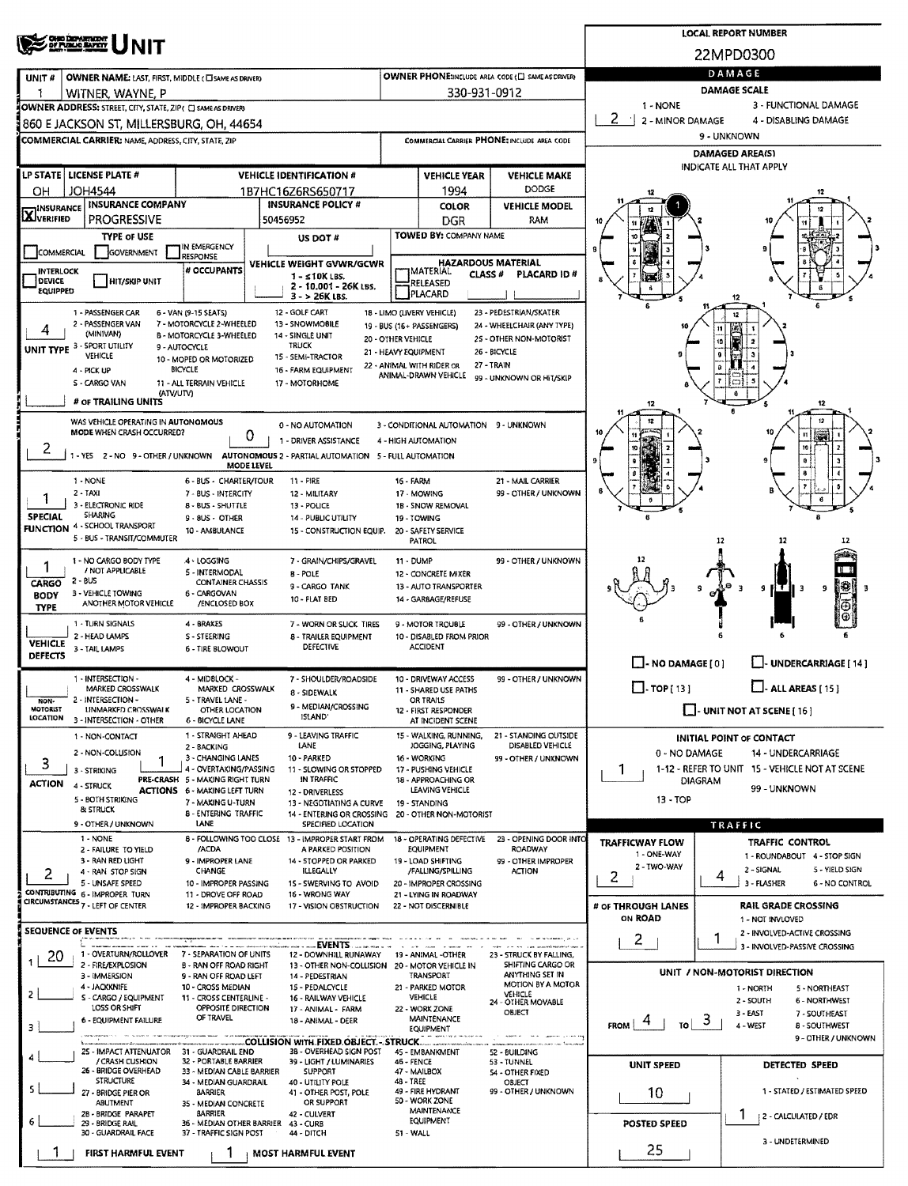| <b>OHO DEPARTMENT</b><br>OF PUBLIC BATETY                                                                                                                               |                                                   |                                                   |                                                       |                                 | <b>LOCAL REPORT NUMBER</b>                                         |  |  |
|-------------------------------------------------------------------------------------------------------------------------------------------------------------------------|---------------------------------------------------|---------------------------------------------------|-------------------------------------------------------|---------------------------------|--------------------------------------------------------------------|--|--|
|                                                                                                                                                                         |                                                   |                                                   |                                                       |                                 | 22MPD0300                                                          |  |  |
| OWNER NAME: LAST, FIRST, MIDDLE (CI SAME AS DRIVER)<br>UNIT#                                                                                                            | OWNER PHONE:INCLUDE AREA CODE (E) SAME AS DRIVER) | DAMAGE                                            |                                                       |                                 |                                                                    |  |  |
| WITNER, WAYNE, P                                                                                                                                                        |                                                   | 330-931-0912                                      |                                                       |                                 | <b>DAMAGE SCALE</b>                                                |  |  |
| OWNER ADDRESS: STREET, CITY, STATE, ZIP ( C) SAME AS DRIVERY                                                                                                            |                                                   |                                                   |                                                       | 1 - NONE                        | 3 - FUNCTIONAL DAMAGE                                              |  |  |
| 860 E JACKSON ST, MILLERSBURG, OH, 44654                                                                                                                                |                                                   |                                                   |                                                       | 2<br>⊣<br>2 - MINOR DAMAGE      | 4 - DISABLING DAMAGE<br>9 - UNKNOWN                                |  |  |
| <b>COMMERCIAL CARRIER: NAME, ADDRESS, CITY, STATE, ZIP</b>                                                                                                              |                                                   |                                                   | COMMERCIAL CARRIER PHONE: INCLUDE AREA CODE           |                                 | <b>DAMAGED AREA(S)</b>                                             |  |  |
|                                                                                                                                                                         |                                                   |                                                   |                                                       |                                 | INDICATE ALL THAT APPLY                                            |  |  |
| LP STATE LICENSE PLATE #<br><b>VEHICLE IDENTIFICATION #</b><br><b>JOH4544</b><br>OH.<br>1B7HC16Z6RS650717                                                               |                                                   | <b>VEHICLE YEAR</b><br>1994                       | <b>VEHICLE MAKE</b><br><b>DODGE</b>                   |                                 |                                                                    |  |  |
| <b>INSURANCE COMPANY</b><br><b>INSURANCE POLICY #</b><br><b>INSURANCE</b>                                                                                               |                                                   | COLOR                                             | <b>VEHICLE MODEL</b>                                  |                                 |                                                                    |  |  |
| XVERIFIED<br><b>PROGRESSIVE</b><br>50456952                                                                                                                             |                                                   | DGR                                               | RAM                                                   |                                 |                                                                    |  |  |
| <b>TYPE OF USE</b><br>US DOT #<br>IN EMERGENCY                                                                                                                          |                                                   | TOWED BY: COMPANY NAME                            |                                                       |                                 |                                                                    |  |  |
| GOVERNMENT<br><b>COMMERCIAL</b><br><b>RESPONSE</b><br>VEHICLE WEIGHT GVWR/GCWR                                                                                          |                                                   | <b>HAZARDOUS MATERIAL</b>                         |                                                       |                                 |                                                                    |  |  |
| # OCCUPANTS<br><b>INTERLOCK</b><br>1 - ≤10K LBS.<br><b>DEVICE</b><br><b>HIT/SKIP UNIT</b>                                                                               |                                                   | IMATERIAL<br><b>CLASS#</b><br>RELEASED            | PLACARD ID#                                           |                                 |                                                                    |  |  |
| 2 - 10.001 - 26K LBS.<br>EQUIPPED<br>3 - > 26K LBS.                                                                                                                     |                                                   | PLACARD                                           |                                                       |                                 | 12                                                                 |  |  |
| 12 - GOLF CART<br>1 - PASSENGER CAR<br>6 - VAN (9-15 SEATS)                                                                                                             |                                                   | 18 - LIMO (LIVERY VEHICLE)                        | 23 - PEDESTRIAN/SKATER                                |                                 |                                                                    |  |  |
| 2 - PASSENGER VAN<br>7 - MOTORCYCLE 2-WHEELED<br>13 - SNOWMOBILE<br>(MINIVAN)<br><b>B - MOTORCYCLE 3-WHEELED</b><br>14 - SINGLE UNIT                                    | 20 - OTHER VEHICLE                                | 19 - BUS (16+ PASSENGERS)                         | 24 - WHEELCHAIR (ANY TYPE)<br>25 - OTHER NON-MOTORIST |                                 |                                                                    |  |  |
| UNIT TYPE 3 - SPORT UTILITY<br><b>TRUCK</b><br>9 - AUTOCYCLE<br>VEHICLE<br>15 - SEMI-TRACTOR<br>10 - MOPED OR MOTORIZED                                                 | 21 - HEAVY EQUIPMENT                              |                                                   | 26 - BICYCLE                                          |                                 |                                                                    |  |  |
| <b>BICYCLE</b><br>16 - FARM EQUIPMENT<br>4 - PICK UP                                                                                                                    |                                                   | 22 - ANIMAL WITH RIDER OR<br>ANIMAL-DRAWN VEHICLE | 27 - TRAIN<br>99 - UNKNOWN OR HIT/SKIP                |                                 |                                                                    |  |  |
| <b>S - CARGO VAN</b><br><b>11 - ALL TERRAIN VEHICLE</b><br>17 - MOTORHOME<br>(ATV/UTV)                                                                                  |                                                   |                                                   |                                                       |                                 |                                                                    |  |  |
| # OF TRAILING UNITS                                                                                                                                                     |                                                   |                                                   |                                                       | 12                              | 12                                                                 |  |  |
| WAS VEHICLE OPERATING IN AUTONOMOUS<br>0 - NO AUTOMATION<br>MODE WHEN CRASH OCCURRED?                                                                                   |                                                   | 3 - CONDITIONAL AUTOMATION 9 - UNKNOWN            |                                                       |                                 |                                                                    |  |  |
| 0<br>1 - DRIVER ASSISTANCE<br>۷                                                                                                                                         |                                                   | 4 - HIGH AUTOMATION                               |                                                       |                                 |                                                                    |  |  |
| 1 - YES 2 - NO 9 - OTHER / UNKNOWN<br>AUTONOMOUS 2 - PARTIAL AUTOMATION 5 - FULL AUTOMATION<br>MODE LEVEL                                                               |                                                   |                                                   |                                                       |                                 |                                                                    |  |  |
| 1 - NONE<br>6 - BUS - CHARTER/TOUR<br>$11 - FIRE$                                                                                                                       | <b>16 - FARM</b>                                  |                                                   | 21 - MAIL CARRIER                                     |                                 |                                                                    |  |  |
| 2 - TAXI<br>7 - BUS - INTERCITY<br>12 - MILITARY<br>ı<br>3 - ELECTRONIC RIDE<br>8 - BUS - SHUTTLE<br>13 - POLICE                                                        |                                                   | 17 - MOWING<br>18 - SNOW REMOVAL                  | 99 - OTHER / UNKNOWN                                  |                                 |                                                                    |  |  |
| <b>SHARING</b><br><b>SPECIAL</b><br>9 - 8US - OTHER<br><b>14 - PUBLIC UTILITY</b><br><b>FUNCTION 4 - SCHOOL TRANSPORT</b>                                               |                                                   | 19 - TOWING                                       |                                                       |                                 |                                                                    |  |  |
| 10 - AMBULANCE<br>15 - CONSTRUCTION EQUIP.<br>5 - BUS - TRANSIT/COMMUTER                                                                                                |                                                   | 20 - SAFETY SERVICE<br>PATROL                     |                                                       |                                 | 12<br>12                                                           |  |  |
| 1 - NO CARGO BODY TYPE<br>4 - LOGGING<br>7 - GRAIN/CHIPS/GRAVEL                                                                                                         | 11 - DUMP                                         |                                                   | 99 - OTHER / UNKNOWN                                  |                                 |                                                                    |  |  |
| / NOT APPLICABLE<br>5 - INTERMODAL<br><b>B-POLE</b><br>$2 - BUS$<br>CONTAINER CHASSIS<br>CARGO                                                                          |                                                   | 12 - CONCRETE MIXER                               |                                                       |                                 |                                                                    |  |  |
| 9 - CARGO TANK<br>3 - VEHICLE TOWING<br>5 - CARGOVAN<br><b>BODY</b><br>10 - FLAT BED<br>ANOTHER MOTOR VEHICLE                                                           |                                                   | 13 - AUTO TRANSPORTER<br>14 - GARBAGE/REFUSE      |                                                       |                                 | 18  <br>9<br>э<br>II 3<br>9                                        |  |  |
| /ENCLOSED BOX<br><b>TYPE</b>                                                                                                                                            |                                                   |                                                   |                                                       |                                 | Θ                                                                  |  |  |
| 1 - TURN SIGNALS<br>4 BRAKES<br>7 - WORN OR SLICK TIRES<br>2 - HEAD LAMPS<br>S - STEERING<br>8 - TRAILER EQUIPMENT                                                      |                                                   | 9 - MOTOR TROUBLE<br>10 - DISABLED FROM PRIOR     | 99 - OTHER / UNKNOWN                                  |                                 |                                                                    |  |  |
| <b>VEHICLE</b><br><b>DEFECTIVE</b><br>3 - TAIL LAMPS<br>6 - TIRE BLOWOUT<br><b>DEFECTS</b>                                                                              |                                                   | <b>ACCIDENT</b>                                   |                                                       |                                 |                                                                    |  |  |
| 1 - INTERSECTION -<br>4 - MIDBLOCK -<br>7 - SHOULDER/ROADSIDE                                                                                                           |                                                   | 10 - DRIVEWAY ACCESS                              | 99 - OTHER / UNKNOWN                                  | $\Box$ - NO DAMAGE [ 0 ]        | U-UNDERCARRIAGE [14]                                               |  |  |
| MARKED CROSSWALK<br>MARKED CROSSWALK<br>8 - SIDEWALK                                                                                                                    |                                                   | 11 - SHARED USE PATHS                             |                                                       | $\Box$ TOP [ 13 ]               | $\Box$ - ALL AREAS [ 15 ]                                          |  |  |
| 2 - INTERSECTION -<br>5 - TRAVEL LANE -<br>NON-<br>9 - MEDIAN/CROSSING<br>MOTORIST<br>UNMARKED CROSSWALK<br>OTHER LOCATION<br>ISLAND'<br>LOCATION                       |                                                   | OR TRAILS<br>12 - FIRST RESPONDER                 |                                                       |                                 | UNIT NOT AT SCENE [ 16 ]                                           |  |  |
| 3 - INTERSECTION - OTHER<br>6 - BICYCLE LANE<br>1 - STRAIGHT AHEAD<br>9 - LEAVING TRAFFIC                                                                               |                                                   | AT INCIDENT SCENE<br>15 - WALKING, RUNNING.       | 21 - STANDING OUTSIDE                                 |                                 |                                                                    |  |  |
| 1 - NON-CONTACT<br>LANE<br>2 - BACKING<br>2 - NON-COLLISION                                                                                                             |                                                   | JOGGING, PLAYING                                  | DISABLED VEHICLE                                      | 0 - NO DAMAGE                   | INITIAL POINT OF CONTACT<br>14 - UNDERCARRIAGE                     |  |  |
| 3 - CHANGING LANES<br>10 - PARKED<br>1<br>3<br>4 - OVERTAKING/PASSING<br>11 - SLOWING OR STOPPED<br>3 - STRIKING                                                        |                                                   | 16 - WORKING<br>17 - PUSHING VEHICLE              | 99 - OTHER / UNKNOWN                                  | 1                               | 1-12 - REFER TO UNIT 15 - VEHICLE NOT AT SCENE                     |  |  |
| PRE-CRASH 5 - MAKING RIGHT TURN<br>IN TRAFFIC<br><b>ACTION</b><br>4 - STRUCK<br><b>ACTIONS 6 - MAXING LEFT TURN</b><br>12 - DRIVERLESS                                  |                                                   | 18 - APPROACHING OR<br>LEAVING VEHICLE            |                                                       | <b>DIAGRAM</b>                  | 99 - UNKNOWN                                                       |  |  |
| 5 - BOTH STRIKING<br>7 - MAKING U-TURN<br>13 - NEGOTIATING A CURVE<br><b>&amp; STRUCK</b>                                                                               |                                                   | 19 - STANDING                                     |                                                       | $13 - TOP$                      |                                                                    |  |  |
| <b>8 - ENTERING TRAFFIC</b><br>14 - ENTERING OR CROSSING 20 - OTHER NON-MOTORIST<br>LANE<br>SPECIFIED LOCATION<br>9 - OTHER / UNKNOWN                                   |                                                   |                                                   |                                                       |                                 | TRAFFIC                                                            |  |  |
| 1 - NONE<br>8 - FOLLOWING TOO CLOSE 13 - IMPROPER START FROM                                                                                                            |                                                   | 18 - OPERATING DEFECTIVE                          | 23 - OPENING DOOR INTO                                | <b>TRAFFICWAY FLOW</b>          | TRAFFIC CONTROL                                                    |  |  |
| /ACDA<br>2 - FAILURE TO YIELD<br>A PARKED POSITION<br>3 - RAN RED LIGHT<br>9 - IMPROPER LANE<br>14 - STOPPED OR PARKED                                                  |                                                   | EQUIPMENT<br>19 - LOAD SHIFTING                   | <b>ROADWAY</b><br>99 - OTHER IMPROPER                 | 1 - ONE-WAY<br>2 - TWO-WAY      | 1 - ROUNDABOUT 4 - STOP SIGN                                       |  |  |
| CHANGE<br><b>ILLEGALLY</b><br>4 - RAN STOP SIGN<br>2<br>5 - UNSAFE SPEED<br>10 - IMPROPER PASSING<br>15 - SWERVING TO AVOID                                             |                                                   | /FALLING/SPILLING<br>20 - IMPROPER CROSSING       | <b>ACTION</b>                                         | 2                               | 5 - YIELD SIGN<br>2 - SIGNAL<br>4<br>3 - FLASHER<br>6 - NO CONTROL |  |  |
| CONTRIBUTING 6 - IMPROPER TURN<br>11 - DROVE OFF ROAD<br>16 - WRONG WAY<br>CIRCUMSTANCES 7 - LEFT OF CENTER                                                             |                                                   | 21 - LYING IN ROADWAY                             |                                                       |                                 |                                                                    |  |  |
| 12 - IMPROPER BACKING<br>17 - VISION OBSTRUCTION                                                                                                                        |                                                   | 22 - NOT DISCERNIBLE                              |                                                       | # OF THROUGH LANES<br>ON ROAD   | <b>RAIL GRADE CROSSING</b><br>1 - NOT INVLOVED                     |  |  |
| <b>SEQUENCE OF EVENTS</b>                                                                                                                                               |                                                   |                                                   |                                                       | 2                               | 2 - INVOLVED-ACTIVE CROSSING                                       |  |  |
| EVENTS<br>1 - OVERTURN/ROLLOVER 7 - SEPARATION OF UNITS<br>12 - DOWNHILL RUNAWAY 19 - ANIMAL -OTHER<br>20                                                               |                                                   |                                                   | 23 - STRUCK BY FALLING,                               |                                 | 3 - INVOLVED-PASSIVE CROSSING                                      |  |  |
| 1<br>2 - FIRE/EXPLOSION<br><b>B - RAN OFF ROAD RIGHT</b><br>13 - OTHER NON-COLLISION 20 - MOTOR VEHICLE IN<br>3 - IMMERSION<br>9 - RAN OFF ROAD LEFT<br>14 - PEDESTRIAN |                                                   | TRANSPORT                                         | SHIFTING CARGO OR<br>ANYTHING SET IN                  |                                 | UNIT / NON-MOTORIST DIRECTION                                      |  |  |
| 4 - JACKKNIFE<br>10 - CROSS MEDIAN<br>15 - PEDALCYCLE<br>2                                                                                                              |                                                   | 21 - PARKED MOTOR                                 | <b>MOTION BY A MOTOR</b><br>VEHICLE                   |                                 | 1 - NORTH<br>5 - NORTHEAST                                         |  |  |
| S - CARGO / EQUIPMENT<br>11 - CROSS CENTERLINE -<br>16 - RAILWAY VEHICLE<br>LOSS OR SHIFT<br>OPPOSITE DIRECTION<br>17 - ANIMAL - FARM                                   |                                                   | <b>VEHICLE</b><br>22 - WORK ZONE                  | 24 - OTHER MOVABLE<br>OBJECT                          |                                 | $2 - SOLTH$<br>6 - NORTHWEST<br>3 - EAST<br>7 - SOUTHEAST          |  |  |
| OF TRAVEL<br>6 - EQUIPMENT FAILURE<br>18 - ANIMAL - DEER<br>3                                                                                                           |                                                   | <b>MAINTENANCE</b><br>EQUIPMENT                   |                                                       | $\frac{1}{10}$ 3<br><b>FROM</b> | 4 - WEST<br><b>8 - SOUTHWEST</b>                                   |  |  |
| .COLLISION WITH FIXED OBJECT. - STRUCK<br>25 - IMPACT ATTENUATOR 31 - GUARDRAIL END<br>3B - OVERHEAD SIGN POST                                                          |                                                   | 45 - EMBANKMENT                                   | 52 - BUILDING                                         |                                 | 9 - OTHER / UNKNOWN                                                |  |  |
| 4<br>/ CRASH CUSHION<br>32 - PORTABLE BARRIER<br>39 - LIGHT / LUMINARIES<br>26 - BRIDGE OVERHEAD                                                                        | 46 - FENCE                                        |                                                   | 53 - TUNNEL                                           | UNIT SPEED                      | <b>DETECTED SPEED</b>                                              |  |  |
| 33 - MEDIAN CABLE BARRIER<br>SUPPORT<br><b>STRUCTURE</b><br>34 - MEDIAN GUARDRAIL<br>40 - UTILITY POLE<br>s                                                             | 48 - TREE                                         | 47 - MAILBOX                                      | 54 - OTHER FIXED<br>OBJECT                            |                                 |                                                                    |  |  |
| BARRIER<br>41 - OTHER POST, POLE<br>27 - BRIDGE PIER OR<br>OR SUPPORT<br><b>ABUTMENT</b><br>35 - MEDIAN CONCRETE                                                        |                                                   | 49 - FIRE HYDRANT<br>50 - WORK ZONE               | 99 - OTHER / UNKNOWN                                  | 10                              | 1 - STATED / ESTIMATED SPEED                                       |  |  |
| 28 - BRIDGE PARAPET<br><b>BARRIER</b><br>42 - CULVERT<br>6<br>36 - MEDIAN OTHER BARRIER<br>29 - BRIDGE RAIL<br>43 - CURB                                                |                                                   | MAINTENANCE<br>EQUIPMENT                          |                                                       | <b>POSTED SPEED</b>             | T<br>  2 - CALCULATED / EDR                                        |  |  |
| 30 - GUARDRAIL FACE<br>37 - TRAFFIC SIGN POST<br>44 - DITCH                                                                                                             | 51 - WALL                                         |                                                   |                                                       |                                 | 3 - UNDETERMINED                                                   |  |  |
| <b>FIRST HARMFUL EVENT</b><br><b>MOST HARMFUL EVENT</b>                                                                                                                 |                                                   |                                                   |                                                       | 25                              |                                                                    |  |  |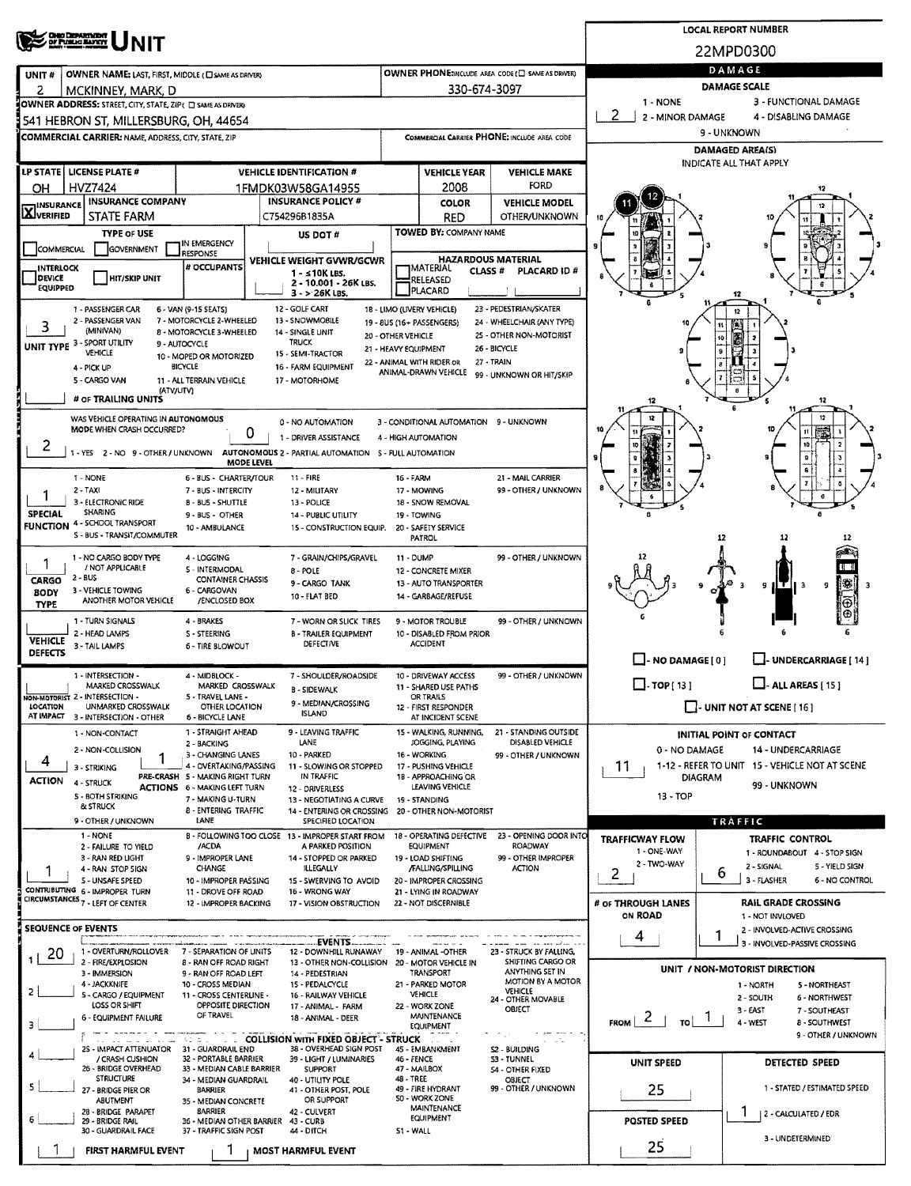| ONIO DEPARTMENT<br>OF PUBLIC BAFRIT                                                                                                            |                                                         |                                                               |                                                      |                                                                                    | <b>LOCAL REPORT NUMBER</b>                              |  |  |  |  |
|------------------------------------------------------------------------------------------------------------------------------------------------|---------------------------------------------------------|---------------------------------------------------------------|------------------------------------------------------|------------------------------------------------------------------------------------|---------------------------------------------------------|--|--|--|--|
|                                                                                                                                                |                                                         |                                                               |                                                      |                                                                                    | 22MPD0300                                               |  |  |  |  |
| OWNER NAME: LAST, FIRST, MIDDLE (C) SAME AS DRIVERY<br>UNIT#                                                                                   | DAMAGE                                                  |                                                               |                                                      |                                                                                    |                                                         |  |  |  |  |
| 2<br>MCKINNEY, MARK, D                                                                                                                         | 330-674-3097                                            | <b>DAMAGE SCALE</b>                                           |                                                      |                                                                                    |                                                         |  |  |  |  |
| OWNER ADDRESS: STREET, CITY, STATE, ZIP( C) SAME AS DRIVER)                                                                                    |                                                         |                                                               |                                                      | 3 - FUNCTIONAL DAMAGE<br>1 - NONE<br>2<br>2 - MINOR DAMAGE<br>4 - DISABLING DAMAGE |                                                         |  |  |  |  |
| 541 HEBRON ST, MILLERSBURG, OH, 44654                                                                                                          |                                                         |                                                               |                                                      | 9 - UNKNOWN                                                                        |                                                         |  |  |  |  |
| <b>COMMERCIAL CARRIER: NAME, ADDRESS, CITY, STATE, ZIP</b>                                                                                     |                                                         |                                                               | COMMERCIAL CARRIER PHONE: INCLUDE AREA CODE          | <b>DAMAGED AREA(S)</b>                                                             |                                                         |  |  |  |  |
| LP STATE   LICENSE PLATE #<br><b>VEHICLE IDENTIFICATION #</b>                                                                                  |                                                         | <b>VEHICLE YEAR</b>                                           | <b>VEHICLE MAKE</b>                                  |                                                                                    | <b>INDICATE ALL THAT APPLY</b>                          |  |  |  |  |
| HVZ7424<br>OН<br>1FMDK03W58GA14955                                                                                                             |                                                         | 2008                                                          | FORD                                                 |                                                                                    |                                                         |  |  |  |  |
| <b>INSURANCE COMPANY</b><br><b>INSURANCE POLICY #</b><br><b>INSURANCE</b>                                                                      |                                                         | <b>COLOR</b>                                                  | <b>VEHICLE MODEL</b>                                 |                                                                                    |                                                         |  |  |  |  |
| <b>LX</b> JVERIFIED<br><b>STATE FARM</b><br>C754296B1835A                                                                                      |                                                         | <b>RED</b>                                                    | <b>OTHER/UNKNOWN</b>                                 |                                                                                    |                                                         |  |  |  |  |
| <b>TYPE OF USE</b><br>US DOT#<br>IN EMERGENCY                                                                                                  |                                                         | TOWED BY: COMPANY NAME                                        |                                                      |                                                                                    |                                                         |  |  |  |  |
| <b>COMMERCIAL</b><br>GOVERNMENT<br>RESPONSE<br>VEHICLE WEIGHT GVWR/GCWR<br># OCCUPANTS                                                         |                                                         | <b>HAZARDOUS MATERIAL</b>                                     |                                                      |                                                                                    |                                                         |  |  |  |  |
| <b>INTERLOCK</b><br>1 - ≤10K LBS.<br>DEVICE<br><b>HIT/SKIP UNIT</b><br>2 - 10,001 - 26K LBS.                                                   |                                                         | MATERIAL<br>RELEASED                                          | <b>CLASS #</b><br><b>PLACARD ID#</b>                 |                                                                                    |                                                         |  |  |  |  |
| EQUIPPED<br>3 - > 26K LBS.                                                                                                                     |                                                         | PLACARD                                                       |                                                      |                                                                                    | 12                                                      |  |  |  |  |
| 12 - GOLF CART<br>1 - PASSENGER CAR<br>6 - VAN (9-15 SEATS)<br>2 - PASSENGER VAN<br>7 - MOTORCYCLE 2-WHEELED<br>13 - SNOWMOBILE                | 18 - LIMO (LIVERY VEHICLE)<br>19 - 8US (16+ PASSENGERS) |                                                               | 23 - PEDESTRIAN/SKATER<br>24 - WHEELCHAIR (ANY TYPE) |                                                                                    |                                                         |  |  |  |  |
| 3<br>(MINIVAN)<br>8 - MOTORCYCLE 3-WHEELED<br>14 - SINGLE UNIT<br>TRUCK                                                                        | 20 - OTHER VEHICLE                                      |                                                               | 25 - OTHER NON-MOTORIST                              |                                                                                    |                                                         |  |  |  |  |
| UNIT TYPE 3 - SPORT UTILITY<br>9 - AUTOCYCLE<br><b>VEHICLE</b><br>15 - SEMI-TRACTOR<br>10 - MOPED OR MOTORIZED                                 | 21 - HEAVY EQUIPMENT<br>22 - ANIMAL WITH RIDER OR       |                                                               | 26 - BICYCLE<br>27 - TRAIN                           |                                                                                    |                                                         |  |  |  |  |
| <b>BICYCLE</b><br>16 - FARM EQUIPMENT<br>4 - PICK UP<br>5 - CARGO VAN<br>11 - ALL TERRAIN VEHICLE<br>17 - MOTORHOME                            |                                                         | ANIMAL-DRAWN VEHICLE                                          | 99 - UNKNOWN OR HIT/SKIP                             |                                                                                    |                                                         |  |  |  |  |
| (ATV/UTV)<br># OF TRAILING UNITS                                                                                                               |                                                         |                                                               |                                                      |                                                                                    |                                                         |  |  |  |  |
| WAS VEHICLE OPERATING IN AUTONOMOUS                                                                                                            |                                                         |                                                               |                                                      | 12                                                                                 | 12                                                      |  |  |  |  |
| 0 - NO AUTOMATION<br>MODE WHEN CRASH OCCURRED?<br>o<br>1 - DRIVER ASSISTANCE                                                                   |                                                         | 3 - CONDITIONAL AUTOMATION 9 - UNKNOWN<br>4 - HIGH AUTOMATION |                                                      |                                                                                    |                                                         |  |  |  |  |
| 2<br>1 - YES 2 - NO 9 - OTHER / UNKNOWN AUTONOMOUS 2 - PARTIAL AUTOMATION S - FULL AUTOMATION                                                  |                                                         |                                                               |                                                      |                                                                                    | 10                                                      |  |  |  |  |
| <b>MODE LEVEL</b>                                                                                                                              |                                                         |                                                               |                                                      |                                                                                    | s                                                       |  |  |  |  |
| 1 - NONE<br>6 - BUS - CHARTER/TOUR<br>11 - FIRE<br>$2 - TAXI$<br>7 - BUS - INTERCITY<br>12 - MILITARY                                          | 16 - FARM                                               | 17 - MOWING                                                   | 21 - MAIL CARRIER<br>99 - OTHER / UNKNOWN            |                                                                                    |                                                         |  |  |  |  |
| 3 - ELECTRONIC RIDE<br>B - BUS - SHUTTLE<br>13 - POLICE<br><b>SHARING</b>                                                                      |                                                         | 18 - SNOW REMOVAL                                             |                                                      |                                                                                    |                                                         |  |  |  |  |
| <b>SPECIAL</b><br>9 - BUS - OTHER<br>14 - PUBLIC UTILITY<br><b>FUNCTION 4 - SCHOOL TRANSPORT</b><br>10 - AMBULANCE<br>15 - CONSTRUCTION EQUIP. |                                                         | 19 - TOWING<br>20 - SAFETY SERVICE                            |                                                      |                                                                                    |                                                         |  |  |  |  |
| S - BUS - TRANSIT/COMMUTER                                                                                                                     |                                                         | PATROL                                                        |                                                      |                                                                                    | 12<br>12<br>12                                          |  |  |  |  |
| 1 - NO CARGO BODY TYPE<br>4 - LOGGING<br>7 - GRAIN/CHIPS/GRAVEL<br>1<br>/ NOT APPLICABLE<br>5 - INTERMODAL                                     | 11 - DUMP                                               |                                                               | 99 - OTHER / UNKNOWN                                 |                                                                                    | Ē                                                       |  |  |  |  |
| B - POLE<br>2 - BUS<br>CARGO<br><b>CONTAINER CHASSIS</b><br>9 - CARGO TANK                                                                     |                                                         | 12 - CONCRETE MIXER<br>13 - AUTO TRANSPORTER                  |                                                      |                                                                                    | 1361<br>9<br>9<br>ΙЭ                                    |  |  |  |  |
| 3 - VEHICLE TOWING<br>6 - CARGOVAN<br><b>BODY</b><br>10 - FLAT BED<br>ANOTHER MOTOR VEHICLE<br>/ENCLOSED BOX<br><b>TYPE</b>                    |                                                         | 14 - GARBAGE/REFUSE                                           |                                                      |                                                                                    | ⊕                                                       |  |  |  |  |
| 1 - TURN SIGNALS<br>4 - BRAKES<br>7 - WORN OR SLICK TIRES                                                                                      |                                                         | 9 - MOTOR TROUBLE                                             | 99 - OTHER / UNKNOWN                                 |                                                                                    |                                                         |  |  |  |  |
| 2 - HEAD LAMPS<br>S - STEERING<br><b>B - TRAILER EQUIPMENT</b><br><b>VEHICLE</b><br>DEFECTIVE<br>3 - TAIL LAMPS<br><b>6 - TIRE BLOWOUT</b>     |                                                         | 10 - DISABLED FROM PRIOR<br><b>ACCIDENT</b>                   |                                                      |                                                                                    |                                                         |  |  |  |  |
| <b>DEFECTS</b>                                                                                                                                 |                                                         |                                                               |                                                      | $\Box$ - NO DAMAGE $\Box$                                                          | U-UNDERCARRIAGE [14]                                    |  |  |  |  |
| 1 - INTERSECTION -<br>4 - MIDBLOCK -<br>7 - SHOULDER/ROADSIDE<br>MARKED CROSSWALK<br>MARKED CROSSWALK                                          |                                                         | 10 - DRIVEWAY ACCESS                                          | 99 OTHER / UNKNOWN                                   | $\Box$ . TOP [ 13 ]                                                                | $\Box$ - ALL AREAS [ 15 ]                               |  |  |  |  |
| B - SIDEWALK<br>NON-MOTORIST 2 - INTERSECTION -<br>S - TRAVEL LANE -<br>9 - MEDIAN/CROSSING                                                    |                                                         | 11 - SHARED USE PATHS<br>OR TRAILS                            |                                                      |                                                                                    |                                                         |  |  |  |  |
| <b>LOCATION</b><br>UNMARKED CROSSWALK<br>OTHER LOCATION<br><b>ISLAND</b><br>AT IMPACT 3 - INTERSECTION - OTHER<br><b>6 - BICYCLE LANE</b>      |                                                         | 12 - FIRST RESPONDER<br>AT INCIDENT SCENE                     |                                                      |                                                                                    | $\Box$ - UNIT NOT AT SCENE [16]                         |  |  |  |  |
| 1 - STRAIGHT AHEAD<br>9 - LEAVING TRAFFIC<br>1 - NON-CONTACT<br>LANE                                                                           |                                                         | 15 - WALKING, RUNNING,<br>JOGGING, PLAYING                    | 21 - STANDING OUTSIDE<br>DISABLED VEHICLE            |                                                                                    | INITIAL POINT OF CONTACT                                |  |  |  |  |
| 2 - BACKING<br>2 - NON-COLLISION<br>10 - PARKED<br>3 - CHANGING LANES<br>4                                                                     |                                                         | 16 - WORKING                                                  | 99 - OTHER / UNKNOWN                                 | 0 - NO DAMAGE                                                                      | <b>14 - UNDERCARRIAGE</b>                               |  |  |  |  |
| 4 - OVERTAKING/PASSING<br>11 - SLOWING OR STOPPED<br>3 - STRIKING<br>PRE-CRASH 5 - MAKING RIGHT TURN<br>IN TRAFFIC<br><b>ACTION</b>            |                                                         | 17 - PUSHING VEHICLE<br>1B - APPROACHING OR                   |                                                      | 11<br><b>DIAGRAM</b>                                                               | 1-12 - REFER TO UNIT 15 - VEHICLE NOT AT SCENE          |  |  |  |  |
| 4 - STRUCK<br><b>ACTIONS 6 - MAKING LEFT TURN</b><br>12 - DRIVERLESS<br><b>5 - BOTH STRIKING</b>                                               |                                                         | LEAVING VEHICLE                                               |                                                      | 13 - TOP                                                                           | 99 - UNKNOWN                                            |  |  |  |  |
| 7 - MAKING U-TURN<br>13 - NEGOTIATING A CURVE<br>& STRUCK<br><b>8 - ENTERING TRAFFIC</b><br>14 - ENTERING OR CROSSING                          |                                                         | 19 - STANDING<br>20 - OTHER NON-MOTORIST                      |                                                      |                                                                                    |                                                         |  |  |  |  |
| LANE<br>9 - OTHER / UNKNOWN<br>SPECIFIED LOCATION<br>1 - NONE<br>B - FOLLOWING TOO CLOSE 13 - IMPROPER START FROM                              |                                                         | 18 - OPERATING DEFECTIVE                                      | 23 - OPENING DOOR INTO                               | <b>TRAFFICWAY FLOW</b>                                                             | TRAFFIC                                                 |  |  |  |  |
| /ACDA<br>A PARKED POSITION<br>2 - FAILURE TO YIELD<br>3 - RAN RED LIGHT<br>9 - IMPROPER LANE<br>14 - STOPPED OR PARKED                         |                                                         | EQUIPMENT                                                     | ROADWAY<br>99 - OTHER IMPROPER                       | 1 - ONE-WAY                                                                        | TRAFFIC CONTROL<br>1 - ROUNDABOUT 4 - STOP SIGN         |  |  |  |  |
| <b>CHANGE</b><br><b>ILLEGALLY</b><br>4 - RAN STOP 5IGN                                                                                         |                                                         | 19 - LOAD SHIFTING<br>/FALLING/SPILLING                       | ACTION                                               | 2 - TWO-WAY<br>2                                                                   | 2 - SIGNAL<br>5 - YIELD SIGN<br>6                       |  |  |  |  |
| S - UNSAFE SPEED<br>10 - IMPROPER PASSING<br>15 - SWERVING TO AVOID<br>CONTRIBUTING 6 - IMPROPER TURN<br>16 - WRONG WAY<br>11 - DROVE OFF ROAD |                                                         | 20 - IMPROPER CROSSING<br>21 - LYING IN ROADWAY               |                                                      |                                                                                    | 3 - FLASHER<br>6 - NO CONTROL                           |  |  |  |  |
| CIRCUMSTANCES <sub>7</sub> - LEFT OF CENTER<br>12 - IMPROPER BACKING<br>17 - VISION OBSTRUCTION                                                |                                                         | 22 - NOT DISCERNIBLE                                          |                                                      | # OF THROUGH LANES<br>ON ROAD                                                      | <b>RAIL GRADE CROSSING</b>                              |  |  |  |  |
| <b>SEQUENCE OF EVENTS</b>                                                                                                                      |                                                         |                                                               |                                                      |                                                                                    | 1 - NOT INVLOVED<br>2 - INVOLVED-ACTIVE CROSSING        |  |  |  |  |
| EVENTS _________<br>1 - OVERTURN/ROLLOVER<br>7 - SEPARATION OF UNITS<br>12 - DOWNHILL RUNAWAY<br>20                                            |                                                         | 19 - ANIMAL -OTHER                                            | 23 - STRUCK BY FALLING,                              | 4                                                                                  | 1<br>3 - INVOLVED-PASSIVE CROSSING                      |  |  |  |  |
| 2 - FIRE/EXPLOSION<br>8 - RAN OFF ROAD RIGHT<br>13 - OTHER NON-COLLISION 20 - MOTOR VEHICLE IN<br>3 - IMMERSION                                |                                                         | TRANSPORT                                                     | SHIFTING CARGO OR<br>ANYTHING SET IN                 |                                                                                    | UNIT / NON-MOTORIST DIRECTION                           |  |  |  |  |
| 9 - RAN OFF ROAD LEFT<br>14 - PEDESTRIAN<br>4 - JACKKNIFE<br>10 - CROSS MEDIAN<br>15 - PEDALCYCLE<br>$\overline{2}$                            |                                                         | 21 - PARKED MOTOR                                             | MOTION BY A MOTOR<br>VEHICLE                         |                                                                                    | 1 - NORTH<br>5 - NORTHEAST                              |  |  |  |  |
| 5 - CARGO / EQUIPMENT<br>11 - CROSS CENTERLINE -<br>16 - RAILWAY VEHICLE<br>LOSS OR SHIFT<br>OPPOSITE DIRECTION<br>17 - ANIMAL - FARM          |                                                         | VEHICLE<br>22 - WORK ZONE                                     | 24 - OTHER MOVABLE<br><b>OBJECT</b>                  |                                                                                    | 2 - SOUTH<br>6 - NORTHWEST<br>3 - EAST<br>7 - SOUTHEAST |  |  |  |  |
| OF TRAVEL<br>6 - EQUIPMENT FAILURE<br>18 - ANIMAL - DEER<br>з                                                                                  |                                                         | MAINTENANCE<br><b>EQUIPMENT</b>                               |                                                      | FROM $ 2 $<br>TO                                                                   | 4 - WEST<br><b>B-SOUTHWEST</b>                          |  |  |  |  |
| . COLLISION WITH FIXED OBJECT - STRUCK<br>ಿವಿ ಎಂ<br>38 - OVERHEAD SIGN POST                                                                    |                                                         | <b>State State</b>                                            | $\sigma$ -gam , when $\sigma$ .<br>a carta           |                                                                                    | 9 - OTHER / UNKNOWN                                     |  |  |  |  |
| 2S - IMPACT ATTENUATOR 31 - GUARDRAIL END<br>/ CRASH CUSHION<br>32 - PORTABLE BARRIER<br>39 - LIGHT / LUMINARIES                               | <b>46 - FENCE</b>                                       | 45 - EMBANKMENT                                               | <b>S2 - BUILDING</b><br>53 - TUNNEL                  | UNIT SPEED                                                                         | DETECTED SPEED                                          |  |  |  |  |
| 26 - BRIDGE OVERHEAD<br>33 - MEDIAN CABLE BARRIER<br><b>SUPPORT</b><br><b>STRUCTURE</b><br>34 - MEDIAN GUARDRAIL<br>40 - UTIUTY POLE           | 48 - TREE                                               | 47 - MAILBOX                                                  | 54 - OTHER FIXED<br>OBJECT                           |                                                                                    |                                                         |  |  |  |  |
| 5<br>27 - BRIDGE PIER OR<br>BARRIER<br>41 - OTHER POST, POLE<br>OR SUPPORT<br><b>ABUTMENT</b><br>35 - MEDIAN CONCRETE                          |                                                         | 49 - FIRE HYDRANT<br>S0 - WORK ZONE                           | 99 - OTHER / UNKNOWN                                 | 25                                                                                 | 1 - STATED / ESTIMATED SPEED                            |  |  |  |  |
| 28 - BRIDGE PARAPET<br>BARRIER<br>42 - CULVERT<br>29 - BRIDGE RAIL<br>36 - MEDIAN OTHER BARRIER<br>43 CURB                                     |                                                         | MAINTENANCE<br><b>EQUIPMENT</b>                               |                                                      | <b>POSTED SPEED</b>                                                                | 2 - CALCULATED / EDR                                    |  |  |  |  |
| 30 - GUARDRAIL FACE<br>37 - TRAFFIC SIGN POST<br>44 - DITCH                                                                                    | S1 - WALL                                               |                                                               |                                                      |                                                                                    | 3 - UNDETERMINED                                        |  |  |  |  |
| <b>FIRST HARMFUL EVENT</b><br>MOST HARMFUL EVENT                                                                                               |                                                         |                                                               |                                                      | 25                                                                                 |                                                         |  |  |  |  |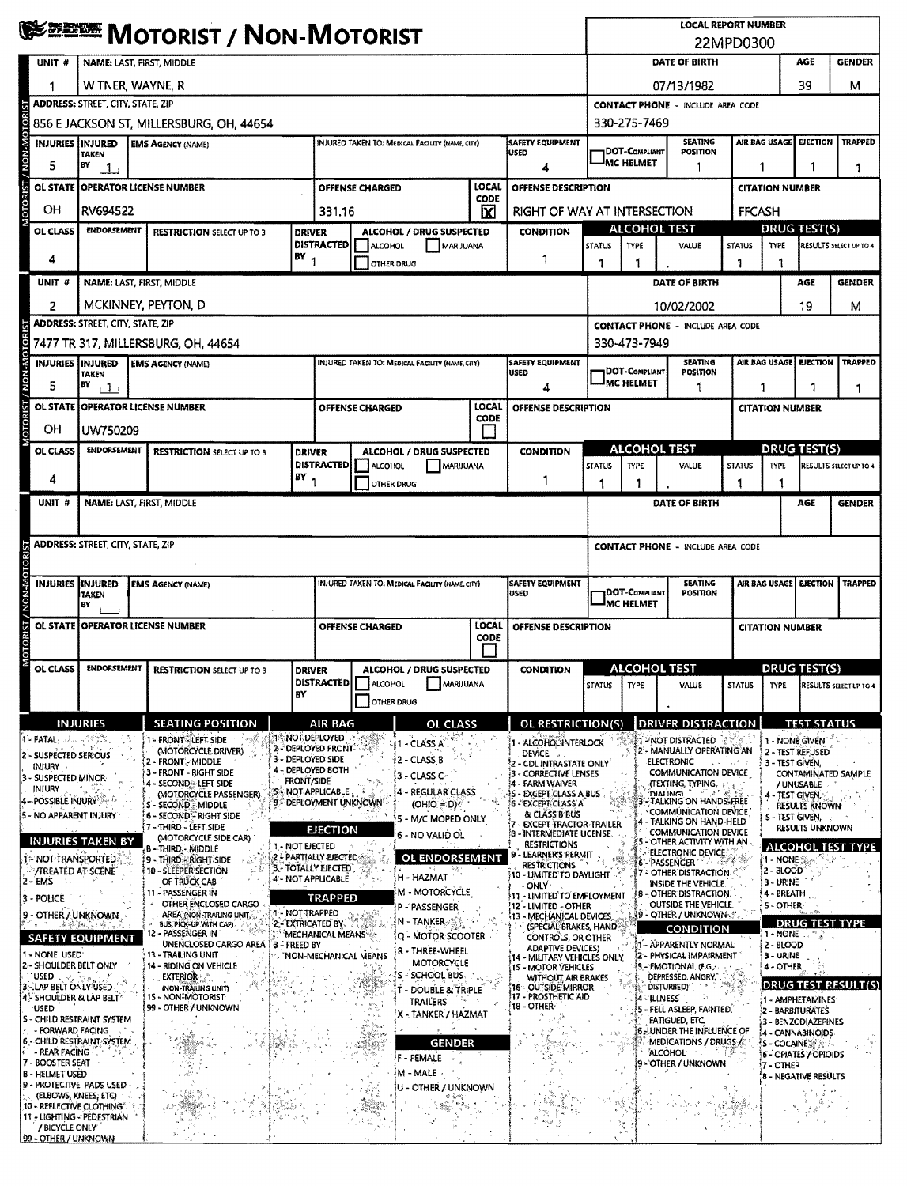|                                                                                                                                        | <b>WEER MOTORIST / NON-MOTORIST</b>                                                                                                |                                                                                                                                                             |                                                                                                                                    |                   |                              |                                                                                  |                                                                             |                                                                                                                                     | <b>LOCAL REPORT NUMBER</b><br>22MPD0300                                                   |                                                                              |                                                                                                                                                                            |                                    |                                                                          |                                                                                          |                          |  |
|----------------------------------------------------------------------------------------------------------------------------------------|------------------------------------------------------------------------------------------------------------------------------------|-------------------------------------------------------------------------------------------------------------------------------------------------------------|------------------------------------------------------------------------------------------------------------------------------------|-------------------|------------------------------|----------------------------------------------------------------------------------|-----------------------------------------------------------------------------|-------------------------------------------------------------------------------------------------------------------------------------|-------------------------------------------------------------------------------------------|------------------------------------------------------------------------------|----------------------------------------------------------------------------------------------------------------------------------------------------------------------------|------------------------------------|--------------------------------------------------------------------------|------------------------------------------------------------------------------------------|--------------------------|--|
| UNIT #                                                                                                                                 | NAME: LAST, FIRST, MIDDLE                                                                                                          |                                                                                                                                                             |                                                                                                                                    |                   |                              |                                                                                  |                                                                             |                                                                                                                                     |                                                                                           | DATE OF BIRTH<br>AGE<br><b>GENDER</b>                                        |                                                                                                                                                                            |                                    |                                                                          |                                                                                          |                          |  |
|                                                                                                                                        | WITNER, WAYNE, R                                                                                                                   |                                                                                                                                                             |                                                                                                                                    |                   |                              |                                                                                  |                                                                             |                                                                                                                                     |                                                                                           |                                                                              | 39<br>м<br>07/13/1982                                                                                                                                                      |                                    |                                                                          |                                                                                          |                          |  |
|                                                                                                                                        | <b>ADDRESS: STREET, CITY, STATE, ZIP</b>                                                                                           |                                                                                                                                                             |                                                                                                                                    |                   |                              |                                                                                  |                                                                             |                                                                                                                                     |                                                                                           |                                                                              | <b>CONTACT PHONE - INCLUDE AREA CODE</b>                                                                                                                                   |                                    |                                                                          |                                                                                          |                          |  |
|                                                                                                                                        |                                                                                                                                    | 856 E JACKSON ST, MILLERSBURG, OH, 44654                                                                                                                    |                                                                                                                                    |                   |                              |                                                                                  |                                                                             |                                                                                                                                     |                                                                                           | 330-275-7469                                                                 |                                                                                                                                                                            |                                    |                                                                          |                                                                                          |                          |  |
|                                                                                                                                        | INJURIES INJURED<br><b>SAFETY EQUIPMENT</b><br><b>EMS AGENCY (NAME)</b><br>INJURED TAKEN TO: MEDICAL FACILITY (NAME, CITY)<br>USED |                                                                                                                                                             |                                                                                                                                    |                   |                              |                                                                                  |                                                                             |                                                                                                                                     | <b>SEATING</b><br>AIR BAG USAGE<br><b>EJECTION   TRAPPED</b><br>DOT-Compliant<br>POSITION |                                                                              |                                                                                                                                                                            |                                    |                                                                          |                                                                                          |                          |  |
| 5                                                                                                                                      | TAKEN<br>BY<br>$\Box$                                                                                                              |                                                                                                                                                             |                                                                                                                                    |                   |                              |                                                                                  |                                                                             |                                                                                                                                     |                                                                                           | <b>MC HELMET</b>                                                             |                                                                                                                                                                            | 1<br>1                             |                                                                          | 1                                                                                        |                          |  |
|                                                                                                                                        | LOCAL<br>OL STATE   OPERATOR LICENSE NUMBER<br><b>OFFENSE CHARGED</b><br><b>OFFENSE DESCRIPTION</b><br>CODE                        |                                                                                                                                                             |                                                                                                                                    |                   |                              |                                                                                  |                                                                             |                                                                                                                                     |                                                                                           |                                                                              |                                                                                                                                                                            |                                    | <b>CITATION NUMBER</b>                                                   |                                                                                          |                          |  |
| OΗ                                                                                                                                     | RV694522                                                                                                                           |                                                                                                                                                             |                                                                                                                                    | 331.16            |                              |                                                                                  | $\overline{\mathbf{x}}$                                                     | RIGHT OF WAY AT INTERSECTION                                                                                                        |                                                                                           |                                                                              |                                                                                                                                                                            | <b>FFCASH</b>                      |                                                                          |                                                                                          |                          |  |
| OL CLASS                                                                                                                               | <b>ENDORSEMENT</b><br><b>DRIVER</b><br><b>RESTRICTION SELECT UP TO 3</b>                                                           |                                                                                                                                                             |                                                                                                                                    |                   |                              | ALCOHOL / DRUG SUSPECTED                                                         |                                                                             | <b>CONDITION</b>                                                                                                                    |                                                                                           | <b>ALCOHOL TEST</b>                                                          |                                                                                                                                                                            |                                    |                                                                          | <b>DRUG TEST(S)</b>                                                                      |                          |  |
| 4                                                                                                                                      | $BY_1$                                                                                                                             |                                                                                                                                                             |                                                                                                                                    | <b>DISTRACTED</b> | ALCOHOL<br><b>OTHER DRUG</b> | MARUUANA                                                                         |                                                                             | 1                                                                                                                                   | STATUS<br>1                                                                               | <b>TYPE</b>                                                                  | VALUE                                                                                                                                                                      | <b>STATUS</b><br>1                 | <b>TYPE</b>                                                              |                                                                                          | RESULTS SELECT UP TO 4   |  |
| UNIT #                                                                                                                                 |                                                                                                                                    | NAME: LAST, FIRST, MIDDLE                                                                                                                                   |                                                                                                                                    |                   |                              |                                                                                  |                                                                             |                                                                                                                                     |                                                                                           |                                                                              | DATE OF BIRTH                                                                                                                                                              |                                    |                                                                          | AGE                                                                                      | <b>GENDER</b>            |  |
| 2                                                                                                                                      |                                                                                                                                    | MCKINNEY, PEYTON, D                                                                                                                                         |                                                                                                                                    |                   |                              |                                                                                  |                                                                             |                                                                                                                                     |                                                                                           |                                                                              | 10/02/2002                                                                                                                                                                 |                                    |                                                                          | 19                                                                                       | м                        |  |
|                                                                                                                                        | <b>ADDRESS: STREET, CITY, STATE, ZIP</b>                                                                                           |                                                                                                                                                             |                                                                                                                                    |                   |                              |                                                                                  |                                                                             |                                                                                                                                     |                                                                                           | <b>CONTACT PHONE - INCLUDE AREA CODE</b>                                     |                                                                                                                                                                            |                                    |                                                                          |                                                                                          |                          |  |
|                                                                                                                                        |                                                                                                                                    | 7477 TR 317, MILLERSBURG, OH, 44654                                                                                                                         |                                                                                                                                    |                   |                              |                                                                                  |                                                                             |                                                                                                                                     |                                                                                           | 330-473-7949                                                                 |                                                                                                                                                                            |                                    |                                                                          |                                                                                          |                          |  |
|                                                                                                                                        | <b>INJURIES INJURED</b>                                                                                                            | <b>EMS AGENCY (NAME)</b>                                                                                                                                    |                                                                                                                                    |                   |                              | INJURED TAKEN TO: MEDICAL FACILITY (NAME, CITY)                                  |                                                                             | <b>SAFETY EQUIPMENT</b><br>USED                                                                                                     |                                                                                           | DOT-COMPLIANT                                                                | <b>SEATING</b><br>POSITION                                                                                                                                                 |                                    | AIR BAG USAGE<br><b>EJECTION</b>                                         |                                                                                          | <b>TRAPPED</b>           |  |
| 5                                                                                                                                      | TAKEN<br>BY<br>111                                                                                                                 |                                                                                                                                                             |                                                                                                                                    |                   |                              |                                                                                  |                                                                             | 4                                                                                                                                   |                                                                                           | <b>MC HELMET</b>                                                             |                                                                                                                                                                            |                                    | 1                                                                        |                                                                                          | 1                        |  |
|                                                                                                                                        |                                                                                                                                    | OL STATE OPERATOR LICENSE NUMBER                                                                                                                            |                                                                                                                                    |                   | <b>OFFENSE CHARGED</b>       |                                                                                  | LOCAL                                                                       | <b>OFFENSE DESCRIPTION</b>                                                                                                          |                                                                                           |                                                                              |                                                                                                                                                                            |                                    | <b>CITATION NUMBER</b>                                                   |                                                                                          |                          |  |
| ОH                                                                                                                                     | UW750209                                                                                                                           |                                                                                                                                                             |                                                                                                                                    |                   |                              |                                                                                  | CODE                                                                        |                                                                                                                                     |                                                                                           |                                                                              |                                                                                                                                                                            |                                    |                                                                          |                                                                                          |                          |  |
| OL CLASS                                                                                                                               | <b>ENDORSEMENT</b>                                                                                                                 | <b>RESTRICTION SELECT UP TO 3</b>                                                                                                                           | <b>DRIVER</b>                                                                                                                      |                   |                              | ALCOHOL / DRUG SUSPECTED                                                         |                                                                             | <b>CONDITION</b>                                                                                                                    |                                                                                           | <b>ALCOHOL TEST</b>                                                          |                                                                                                                                                                            | <b>DRUG TEST(S)</b>                |                                                                          |                                                                                          |                          |  |
| 4                                                                                                                                      |                                                                                                                                    |                                                                                                                                                             | $BY_1$                                                                                                                             |                   | DISTRACTED  ALCOHOL          | MARUUANA                                                                         |                                                                             | 1                                                                                                                                   | <b>STATUS</b>                                                                             | <b>TYPE</b>                                                                  | <b>VALUE</b>                                                                                                                                                               | <b>STATUS</b>                      | TYPE                                                                     |                                                                                          | RESULTS SELECT UP TO 4   |  |
| UNIT #                                                                                                                                 |                                                                                                                                    | NAME: LAST, FIRST, MIDDLE                                                                                                                                   |                                                                                                                                    |                   |                              | OTHER DRUG                                                                       |                                                                             |                                                                                                                                     |                                                                                           | 1                                                                            | DATE OF BIRTH                                                                                                                                                              |                                    |                                                                          | <b>AGE</b>                                                                               | <b>GENDER</b>            |  |
|                                                                                                                                        | <b>ADDRESS: STREET, CITY, STATE, ZIP</b>                                                                                           |                                                                                                                                                             |                                                                                                                                    |                   |                              |                                                                                  |                                                                             |                                                                                                                                     | <b>CONTACT PHONE - INCLUDE AREA CODE</b>                                                  |                                                                              |                                                                                                                                                                            |                                    |                                                                          |                                                                                          |                          |  |
| <b>INJURIES INJURED</b>                                                                                                                | <b>TAKEN</b><br>BY                                                                                                                 | <b>EMS AGENCY (NAME)</b>                                                                                                                                    |                                                                                                                                    |                   |                              |                                                                                  | SAFETY EQUIPMENT<br>INJURED TAKEN TO: MEDICAL FACILITY (NAME, CITY)<br>USED |                                                                                                                                     |                                                                                           | <b>SEATING</b><br>DOT-Compliant<br><b>POSITION</b><br><sup>J</sup> MC HELMET |                                                                                                                                                                            |                                    | AIR BAG USAGE<br>EJECTION<br><b>TRAPPED</b>                              |                                                                                          |                          |  |
|                                                                                                                                        |                                                                                                                                    | OL STATE OPERATOR LICENSE NUMBER                                                                                                                            |                                                                                                                                    |                   | <b>OFFENSE CHARGED</b>       |                                                                                  | LOCAL<br>CODE                                                               |                                                                                                                                     | OFFENSE DESCRIPTION                                                                       |                                                                              |                                                                                                                                                                            | <b>CITATION NUMBER</b>             |                                                                          |                                                                                          |                          |  |
| OL CLASS                                                                                                                               | <b>ENDORSEMENT</b>                                                                                                                 | <b>RESTRICTION SELECT UP TO 3</b>                                                                                                                           | <b>DRIVER</b>                                                                                                                      |                   |                              | ALCOHOL / DRUG SUSPECTED<br>DISTRACTED ALCOHOL MARIJUANA                         |                                                                             | <b>CONDITION</b>                                                                                                                    |                                                                                           | <b>ALCOHOL TEST</b>                                                          | STATUS TYPE VALUE                                                                                                                                                          | STATUS TYPE RESULTS SELECT UP TO 4 |                                                                          | <b>DRUG TEST(S)</b>                                                                      |                          |  |
|                                                                                                                                        |                                                                                                                                    |                                                                                                                                                             | BY                                                                                                                                 |                   | <b>OTHER DRUG</b>            |                                                                                  |                                                                             |                                                                                                                                     |                                                                                           |                                                                              |                                                                                                                                                                            |                                    |                                                                          |                                                                                          |                          |  |
|                                                                                                                                        | <b>INJURIES</b>                                                                                                                    | <b>SEATING POSITION</b>                                                                                                                                     |                                                                                                                                    | AIR BAG           |                              | <b>OL CLASS</b>                                                                  |                                                                             | OL RESTRICTION(S)                                                                                                                   |                                                                                           |                                                                              | <b>DRIVER DISTRACTION</b>                                                                                                                                                  |                                    |                                                                          | <b>TEST STATUS</b>                                                                       |                          |  |
| <b>THEATAL</b> July 2008<br>2 - SUSPECTED SERIOUS<br><b>INJURY</b><br>3 - SUSPECTED MINOR<br><b>INJURY</b><br>4 - POSSIBLE INJURY A SA |                                                                                                                                    | 1 - FRONT - LEFT SIDE<br><b>MOTORCYCLE DRIVER)</b><br>2 - FRONT - MIDDLE<br>3 - FRONT - RIGHT SIDE<br>4 - SECOND. LEFT SIDE<br><b>MOTORCYCLE PASSENGER)</b> | <b>1': NOT DEPLOYED</b><br>2 - DEPLOYED FRONT<br>3 - DEPLOYED SIDE<br>4 - DEPLOYED BOTH<br><b>FRONT/SIDE</b><br>SS NOT APPLICABLE, |                   | <b>CALL</b>                  | <b>I1 - CLASS A</b><br><b>12 - CLASS B</b><br>3 - CLASS C<br>4 - REGULAR CLASS   |                                                                             | 1 - ALCOHOL INTERLOCK<br>DEVICE .<br><b>2 - CDL INTRASTATE ONLY</b><br>3 - CORRECTIVE LENSES<br>- FARM WAIVER<br>EXCEPT CLASS A BUS |                                                                                           | 28<br>з                                                                      | <b>T-NOT DISTRACTED PAME</b><br>2 - MANUALLY OPERATING AN<br><b>ELECTRONIC</b><br>COMMUNICATION DEVICE<br>(TEXTING, TYPING, :<br><b>DIALING</b><br>- TALKING ON HANDS-FREE | エレールぞう                             | 1 - NONE GIVEN<br>2 - TEST REFUSED<br>3 - TEST GÍVEN.<br>4 - TEST GIVEN, | / UNUSABLE                                                                               | CONTAMINATED SAMPLE      |  |
| 5 - NO APPARENT INJURY                                                                                                                 | <b>INJURIES TAKEN BY</b>                                                                                                           | S - SECOND - MIDDLE<br>6 - SECOND - RIGHT SIDE<br>{7 - THIRD - LEFT SIDE<br>(MOTORCYCLE SIDE CAR).                                                          | 9 <sup>%</sup> DEPLOYMENT UNKNOWN                                                                                                  | <b>EJECTION</b>   |                              | $(OHIO = D)$<br>5 - M/C MOPED ONLY<br>6 - NO VALID OL                            |                                                                             | <b>6 - EXCEPT CLASS A</b><br>& CLASS B BUS<br>- EXCEPT TRACTOR-TRAILER<br><b>8 - INTERMEDIATE UCENSE.</b><br><b>RESTRICTIONS</b>    |                                                                                           |                                                                              | <b>COMMUNICATION DEVICE</b><br>- TALKING ON HAND-HELD<br><b>COMMUNICATION DEVICE</b><br>- OTHER ACTIVITY WITH AN                                                           |                                    | S - TEST GIVEN,                                                          | <b>RESULTS KNOWN</b><br><b>RESULTS UNKNOWN</b>                                           |                          |  |
| 1- NOT TRANSPORTED.<br>$\triangledown$ TREATED AT SCENE $^{\circ}$<br>$2 - EMS$                                                        |                                                                                                                                    | B - THIRD - MIDDLE<br>9 - THIRD - RIGHT SIDE<br>10 - SLEEPER SECTION<br>OF TRUCK CAB                                                                        | 1 - NOT EJECTED<br>2 - PARTIALLY EJECTED<br>3. TOTALLY EJECTED<br>4 - NOT APPLICABLE                                               |                   |                              | <b>OL ENDORSEMENT</b><br>H - HAZMAT<br><b>M - MOTORCYCLE</b>                     |                                                                             | - LEARNER'S PERMIT<br><b>RESTRICTIONS</b><br>10 - UMITED'TO DAYLIGHT<br><b>ONLY</b>                                                 |                                                                                           |                                                                              | ELECTRONIC DEVICE<br>6'- PASSENGER<br>7 - OTHER DISTRACTION<br><b>INSIDE THE VEHICLE</b>                                                                                   |                                    | 1 - NONE<br>2 - BLOOD<br>3 - URINE                                       |                                                                                          | <b>ALCOHOL TEST TYPE</b> |  |
| 3 - POLICE<br>$\rightarrow$                                                                                                            | 9 - OTHER / UNKNOWN<br>1 . 高 ABC BAG , C K WE T                                                                                    | 11 - PASSENGER IN<br>OTHER ENCLOSED CARGO<br>AREA (NON-TRAILING UNIT)<br>BUS, PICK-UP WITH CAP).                                                            | 1 - NOT TRAPPED<br>2 - EXTRICATED BY                                                                                               | TRAPPED           |                              | P - PASSENGER<br><b>N - TANKER STE</b>                                           |                                                                             | 11 - LIMITED TO EMPLOYMENT<br>12 - LIMITED - OTHER<br>13 - MECHANICAL DEVICES,<br>(SPECIAL BRAKES, HAND                             |                                                                                           |                                                                              | <b>8 - OTHER DISTRACTION.</b><br><b>OUTSIDE THE VEHICLE</b><br><b>9 - OTHER / UNKNOWN &amp; 2</b><br><b>CONDITION</b>                                                      |                                    | 4 - BREATH<br>S - OTHER-                                                 | <b>DRUG TEST TYPE</b>                                                                    |                          |  |
| 1 - NONE USED<br>2 - SHOULDER BELT ONLY                                                                                                | <b>SAFETY EQUIPMENT</b>                                                                                                            | 12 - PASSENGER IN<br>UNENCLOSED CARGO AREA<br>13 - TRAILING UNIT<br>14 - RIDING ON VEHICLE                                                                  | <b>13-FREED BY</b>                                                                                                                 | MECHANICAL MEANS  | 'NON-MECHANICAL MEANS        | iq - Motor Scooter<br>R - THREE-WHEEL<br>MOTORCYCLE                              |                                                                             | CONTROLS, OR OTHER<br><b>ADAPTIVE DEVICES)</b><br>14 - MILITARY VEHICLES ONLY<br><b>15 - MOTOR VEHICLES</b>                         |                                                                                           |                                                                              | 1 - APPARENTLY NORMAL<br>2 - PHYSICAL IMPAIRMENT<br>3. EMOTIONAL (E.G.,                                                                                                    |                                    | $1 - NONE$ .<br>2 - BLOOD<br>3 - URINE<br>4 - OTHER                      |                                                                                          |                          |  |
| <b>USED</b> . 20 September<br>3 - LAP BELT ONLY USED.<br>4 - SHOULDER & LAP BELT<br><b>USED</b>                                        | S - CHILD RESTRAINT SYSTEM                                                                                                         | <b>EXTERIOR</b><br>(NON-TRAILING UNIT)<br>15 - NON-MOTORIST<br>99 - OTHER / UNKNOWN                                                                         |                                                                                                                                    |                   |                              | S - SCHOOL BUS.<br>T - DOUBLE & TRIPLE<br><b>TRAILERS</b><br>X - TANKER / HAZMAT |                                                                             | <b>WITHOUT AIR BRAKES.</b><br>16 - OUTSIDE MIRROR<br>17 - PROSTHETIC AID<br>18 - OTHER                                              |                                                                                           |                                                                              | DEPRESSED, ANGRY,<br>DISTURBED)<br>4 - ILLNESS<br>5 - FELL ASLEEP, FAINTED,<br>FATIGUED, ETC.                                                                              |                                    | 2 - BARBITURATES                                                         | 1 - AMPHETAMINES                                                                         | DRUG TEST RESULT(S)      |  |
| - FORWARD FACING<br>- REAR FACING<br>7 - BOOSTER SEAT<br><b>B - HELMET USED</b>                                                        | 6 - CHILD RESTRAINT SYSTEM                                                                                                         |                                                                                                                                                             |                                                                                                                                    |                   | SIMBO                        | <b>GENDER</b><br>F - FEMALE<br>$M$ - MALE $\rightarrow$                          |                                                                             |                                                                                                                                     |                                                                                           |                                                                              | <b>6. UNDER THE INFLUENCE OF</b><br>MEDICATIONS / DRUGS /<br><b>ALCOHOL</b><br>9 - OTHER / UNKNOWN                                                                         |                                    | {S - COCAINE SANC<br>7 - OTHER                                           | 3 - BENZODIAZEPINES<br>4 - CANNABINOIDS<br>6 - OPIATES / OPIOIDS<br>8 - NEGATIVE RESULTS |                          |  |
| (ELBOWS, KNEES, ETC)<br>/ BICYCLE ONLY<br>99 - OTHER / UNKNOWN                                                                         | 9 - PROTECTIVE PADS USED<br>10 - REFLECTIVE CLOTHING"<br>11 - LIGHTING - PEDESTRIAN                                                |                                                                                                                                                             |                                                                                                                                    |                   |                              | U - OTHER / UNKNOWN                                                              |                                                                             | ÷.                                                                                                                                  |                                                                                           |                                                                              |                                                                                                                                                                            |                                    |                                                                          |                                                                                          |                          |  |